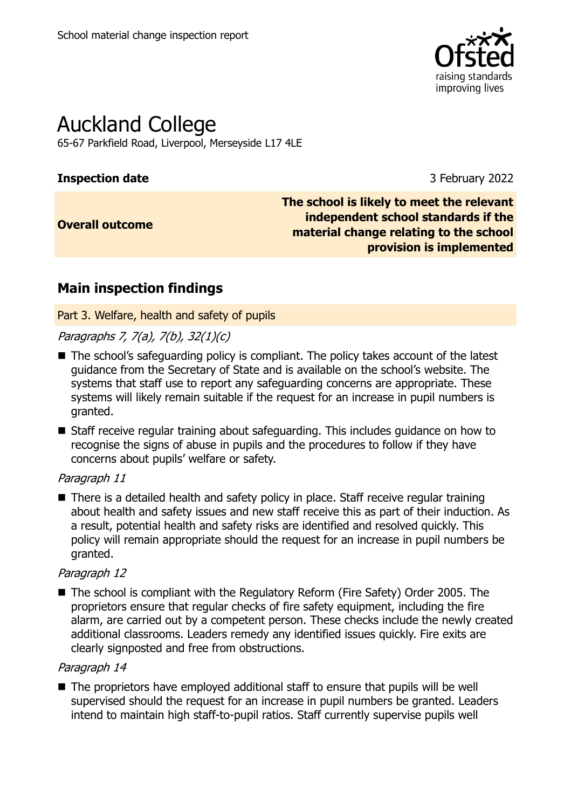

# Auckland College

65-67 Parkfield Road, Liverpool, Merseyside L17 4LE

#### **Inspection date** 3 February 2022

### **Overall outcome**

**The school is likely to meet the relevant independent school standards if the material change relating to the school provision is implemented**

## **Main inspection findings**

Part 3. Welfare, health and safety of pupils

### Paragraphs 7, 7(a), 7(b), 32(1)(c)

- The school's safeguarding policy is compliant. The policy takes account of the latest guidance from the Secretary of State and is available on the school's website. The systems that staff use to report any safeguarding concerns are appropriate. These systems will likely remain suitable if the request for an increase in pupil numbers is granted.
- Staff receive regular training about safeguarding. This includes guidance on how to recognise the signs of abuse in pupils and the procedures to follow if they have concerns about pupils' welfare or safety.

#### Paragraph 11

■ There is a detailed health and safety policy in place. Staff receive regular training about health and safety issues and new staff receive this as part of their induction. As a result, potential health and safety risks are identified and resolved quickly. This policy will remain appropriate should the request for an increase in pupil numbers be granted.

#### Paragraph 12

■ The school is compliant with the Regulatory Reform (Fire Safety) Order 2005. The proprietors ensure that regular checks of fire safety equipment, including the fire alarm, are carried out by a competent person. These checks include the newly created additional classrooms. Leaders remedy any identified issues quickly. Fire exits are clearly signposted and free from obstructions.

#### Paragraph 14

■ The proprietors have employed additional staff to ensure that pupils will be well supervised should the request for an increase in pupil numbers be granted. Leaders intend to maintain high staff-to-pupil ratios. Staff currently supervise pupils well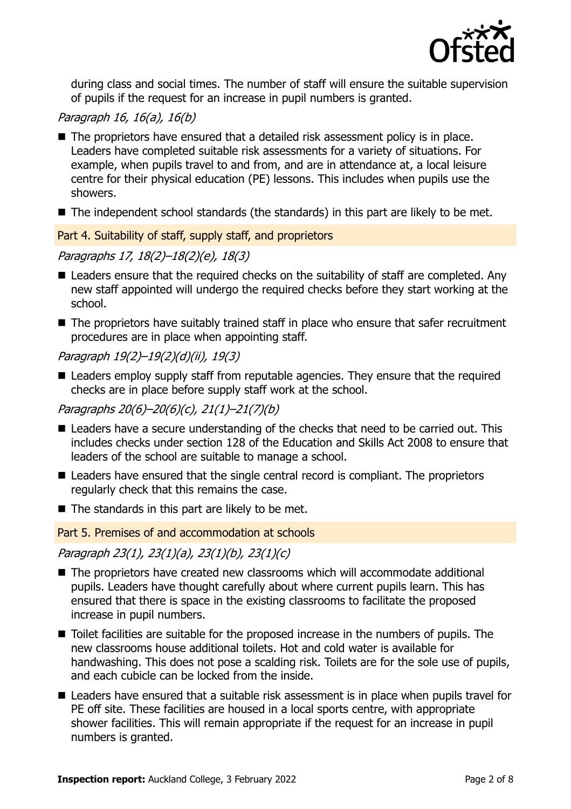

during class and social times. The number of staff will ensure the suitable supervision of pupils if the request for an increase in pupil numbers is granted.

### Paragraph 16, 16(a), 16(b)

- The proprietors have ensured that a detailed risk assessment policy is in place. Leaders have completed suitable risk assessments for a variety of situations. For example, when pupils travel to and from, and are in attendance at, a local leisure centre for their physical education (PE) lessons. This includes when pupils use the showers.
- The independent school standards (the standards) in this part are likely to be met.

#### Part 4. Suitability of staff, supply staff, and proprietors

#### Paragraphs 17, 18(2)–18(2)(e), 18(3)

- Leaders ensure that the required checks on the suitability of staff are completed. Any new staff appointed will undergo the required checks before they start working at the school.
- The proprietors have suitably trained staff in place who ensure that safer recruitment procedures are in place when appointing staff.

#### Paragraph 19(2)–19(2)(d)(ii), 19(3)

■ Leaders employ supply staff from reputable agencies. They ensure that the required checks are in place before supply staff work at the school.

#### Paragraphs 20(6)–20(6)(c), 21(1)–21(7)(b)

- Leaders have a secure understanding of the checks that need to be carried out. This includes checks under section 128 of the Education and Skills Act 2008 to ensure that leaders of the school are suitable to manage a school.
- Leaders have ensured that the single central record is compliant. The proprietors regularly check that this remains the case.
- $\blacksquare$  The standards in this part are likely to be met.

Part 5. Premises of and accommodation at schools

#### Paragraph 23(1), 23(1)(a), 23(1)(b), 23(1)(c)

- The proprietors have created new classrooms which will accommodate additional pupils. Leaders have thought carefully about where current pupils learn. This has ensured that there is space in the existing classrooms to facilitate the proposed increase in pupil numbers.
- Toilet facilities are suitable for the proposed increase in the numbers of pupils. The new classrooms house additional toilets. Hot and cold water is available for handwashing. This does not pose a scalding risk. Toilets are for the sole use of pupils, and each cubicle can be locked from the inside.
- Leaders have ensured that a suitable risk assessment is in place when pupils travel for PE off site. These facilities are housed in a local sports centre, with appropriate shower facilities. This will remain appropriate if the request for an increase in pupil numbers is granted.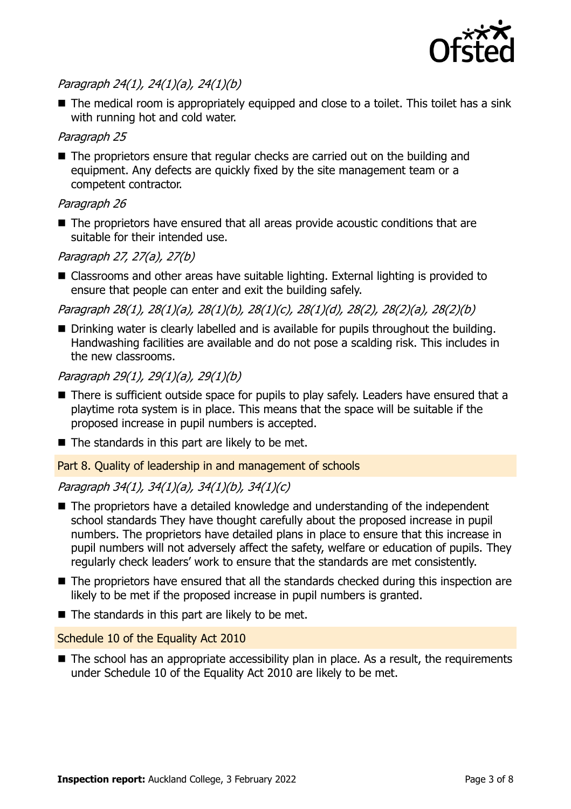

## Paragraph 24(1), 24(1)(a), 24(1)(b)

■ The medical room is appropriately equipped and close to a toilet. This toilet has a sink with running hot and cold water.

#### Paragraph 25

■ The proprietors ensure that regular checks are carried out on the building and equipment. Any defects are quickly fixed by the site management team or a competent contractor.

#### Paragraph 26

■ The proprietors have ensured that all areas provide acoustic conditions that are suitable for their intended use.

### Paragraph 27, 27(a), 27(b)

■ Classrooms and other areas have suitable lighting. External lighting is provided to ensure that people can enter and exit the building safely.

Paragraph 28(1), 28(1)(a), 28(1)(b), 28(1)(c), 28(1)(d), 28(2), 28(2)(a), 28(2)(b)

■ Drinking water is clearly labelled and is available for pupils throughout the building. Handwashing facilities are available and do not pose a scalding risk. This includes in the new classrooms.

### Paragraph 29(1), 29(1)(a), 29(1)(b)

- There is sufficient outside space for pupils to play safely. Leaders have ensured that a playtime rota system is in place. This means that the space will be suitable if the proposed increase in pupil numbers is accepted.
- $\blacksquare$  The standards in this part are likely to be met.

Part 8. Quality of leadership in and management of schools

#### Paragraph 34(1), 34(1)(a), 34(1)(b), 34(1)(c)

- The proprietors have a detailed knowledge and understanding of the independent school standards They have thought carefully about the proposed increase in pupil numbers. The proprietors have detailed plans in place to ensure that this increase in pupil numbers will not adversely affect the safety, welfare or education of pupils. They regularly check leaders' work to ensure that the standards are met consistently.
- The proprietors have ensured that all the standards checked during this inspection are likely to be met if the proposed increase in pupil numbers is granted.
- $\blacksquare$  The standards in this part are likely to be met.

#### Schedule 10 of the Equality Act 2010

■ The school has an appropriate accessibility plan in place. As a result, the requirements under Schedule 10 of the Equality Act 2010 are likely to be met.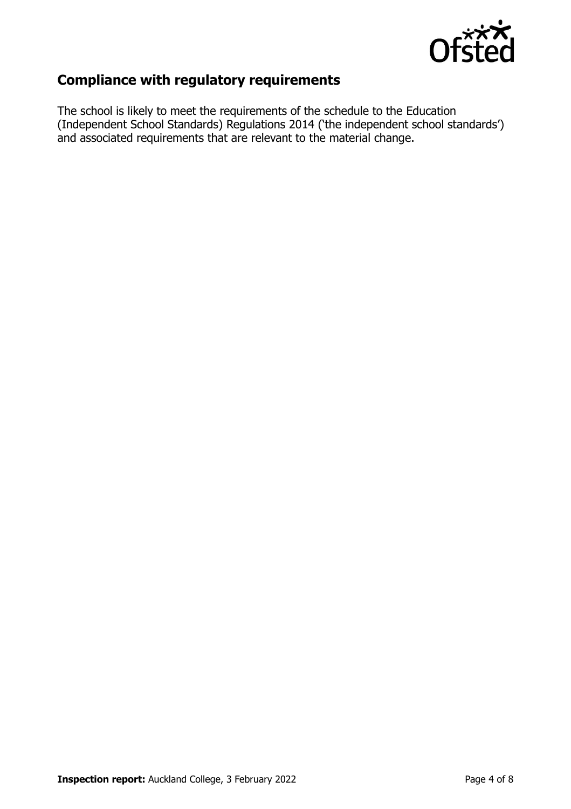

## **Compliance with regulatory requirements**

The school is likely to meet the requirements of the schedule to the Education (Independent School Standards) Regulations 2014 ('the independent school standards') and associated requirements that are relevant to the material change.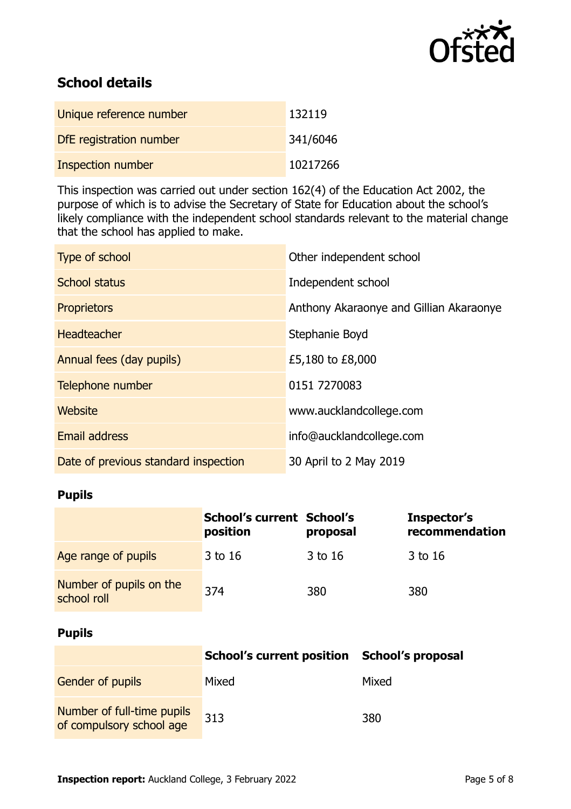

## **School details**

| Unique reference number | 132119   |
|-------------------------|----------|
| DfE registration number | 341/6046 |
| Inspection number       | 10217266 |

This inspection was carried out under section 162(4) of the Education Act 2002, the purpose of which is to advise the Secretary of State for Education about the school's likely compliance with the independent school standards relevant to the material change that the school has applied to make.

| Type of school                       | Other independent school                |
|--------------------------------------|-----------------------------------------|
| <b>School status</b>                 | Independent school                      |
| <b>Proprietors</b>                   | Anthony Akaraonye and Gillian Akaraonye |
| <b>Headteacher</b>                   | Stephanie Boyd                          |
| Annual fees (day pupils)             | £5,180 to £8,000                        |
| Telephone number                     | 0151 7270083                            |
| <b>Website</b>                       | www.aucklandcollege.com                 |
| <b>Email address</b>                 | info@aucklandcollege.com                |
| Date of previous standard inspection | 30 April to 2 May 2019                  |

#### **Pupils**

|                                        | <b>School's current School's</b><br>position | proposal | Inspector's<br>recommendation |
|----------------------------------------|----------------------------------------------|----------|-------------------------------|
| Age range of pupils                    | 3 to 16                                      | 3 to 16  | 3 to 16                       |
| Number of pupils on the<br>school roll | 374                                          | 380      | 380                           |

#### **Pupils**

|                                                        | School's current position School's proposal |       |
|--------------------------------------------------------|---------------------------------------------|-------|
| <b>Gender of pupils</b>                                | Mixed                                       | Mixed |
| Number of full-time pupils<br>of compulsory school age | 313                                         | 380   |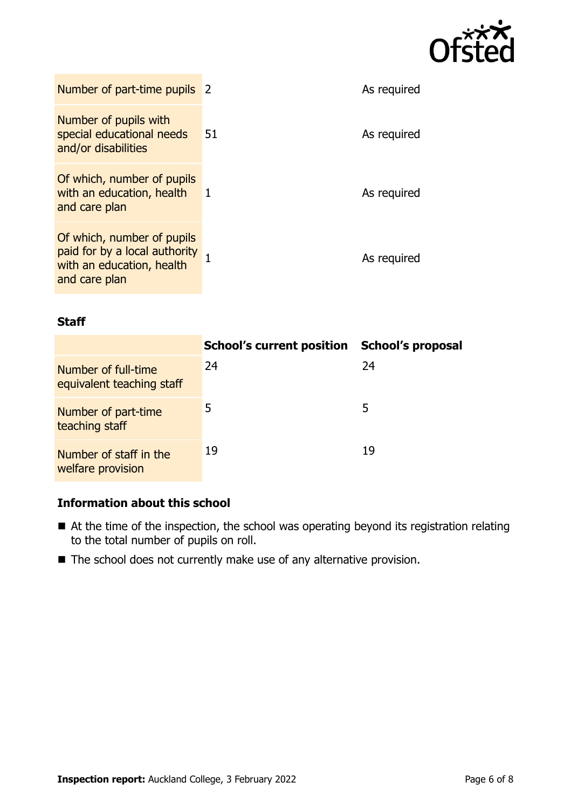

| Number of part-time pupils 2                                                                              |              | As required |
|-----------------------------------------------------------------------------------------------------------|--------------|-------------|
| Number of pupils with<br>special educational needs<br>and/or disabilities                                 | 51           | As required |
| Of which, number of pupils<br>with an education, health<br>and care plan                                  | $\mathbf{1}$ | As required |
| Of which, number of pupils<br>paid for by a local authority<br>with an education, health<br>and care plan |              | As required |

#### **Staff**

|                                                  | <b>School's current position</b> | <b>School's proposal</b> |
|--------------------------------------------------|----------------------------------|--------------------------|
| Number of full-time<br>equivalent teaching staff | 24                               | 24                       |
| Number of part-time<br>teaching staff            | 5                                | 5                        |
| Number of staff in the<br>welfare provision      | 19                               | 19                       |

#### **Information about this school**

- At the time of the inspection, the school was operating beyond its registration relating to the total number of pupils on roll.
- The school does not currently make use of any alternative provision.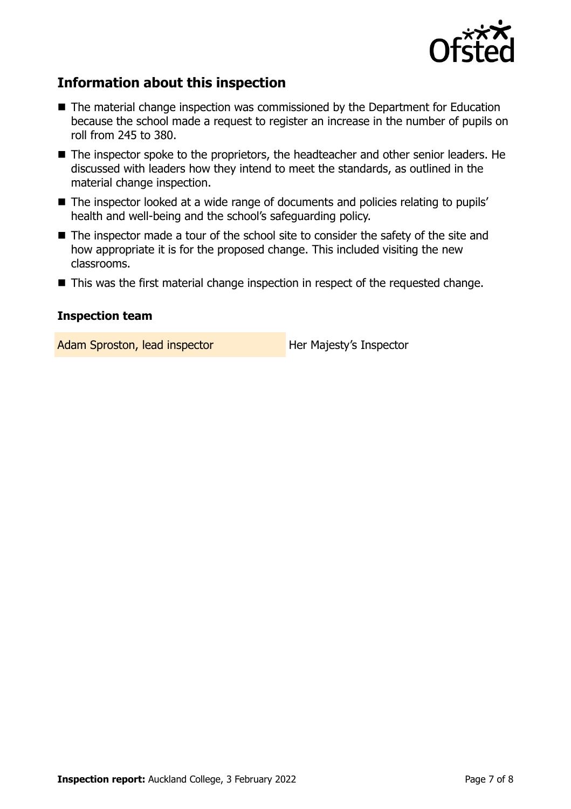

## **Information about this inspection**

- The material change inspection was commissioned by the Department for Education because the school made a request to register an increase in the number of pupils on roll from 245 to 380.
- The inspector spoke to the proprietors, the headteacher and other senior leaders. He discussed with leaders how they intend to meet the standards, as outlined in the material change inspection.
- The inspector looked at a wide range of documents and policies relating to pupils' health and well-being and the school's safeguarding policy.
- The inspector made a tour of the school site to consider the safety of the site and how appropriate it is for the proposed change. This included visiting the new classrooms.
- This was the first material change inspection in respect of the requested change.

#### **Inspection team**

Adam Sproston, lead inspector **Her Majesty's Inspector**